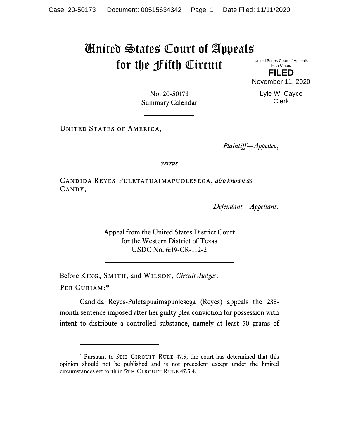## United States Court of Appeals for the Fifth Circuit

United States Court of Appeals Fifth Circuit **FILED**

November 11, 2020

No. 20-50173 Summary Calendar

UNITED STATES OF AMERICA,

*Plaintiff—Appellee*,

*versus*

Candida Reyes-Puletapuaimapuolesega, *also known as* CANDY,

*Defendant—Appellant*.

Appeal from the United States District Court for the Western District of Texas USDC No. 6:19-CR-112-2

Before King, Smith, and Wilson, *Circuit Judges*. Per Curiam:[\\*](#page-0-0)

Candida Reyes-Puletapuaimapuolesega (Reyes) appeals the 235 month sentence imposed after her guilty plea conviction for possession with intent to distribute a controlled substance, namely at least 50 grams of

Lyle W. Cayce Clerk

<span id="page-0-0"></span><sup>\*</sup> Pursuant to 5TH CIRCUIT RULE 47.5, the court has determined that this opinion should not be published and is not precedent except under the limited circumstances set forth in 5TH CIRCUIT RULE 47.5.4.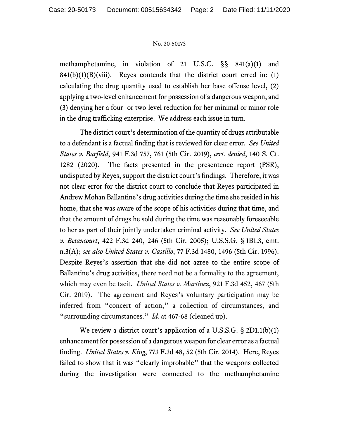## No. 20-50173

methamphetamine, in violation of 21 U.S.C. §§ 841(a)(1) and  $841(b)(1)(B)(viii)$ . Reyes contends that the district court erred in: (1) calculating the drug quantity used to establish her base offense level, (2) applying a two-level enhancement for possession of a dangerous weapon, and (3) denying her a four- or two-level reduction for her minimal or minor role in the drug trafficking enterprise. We address each issue in turn.

The district court's determination of the quantity of drugs attributable to a defendant is a factual finding that is reviewed for clear error. *See United States v. Barfield*, 941 F.3d 757, 761 (5th Cir. 2019), *cert. denied*, 140 S. Ct. 1282 (2020). The facts presented in the presentence report (PSR), undisputed by Reyes, support the district court's findings. Therefore, it was not clear error for the district court to conclude that Reyes participated in Andrew Mohan Ballantine's drug activities during the time she resided in his home, that she was aware of the scope of his activities during that time, and that the amount of drugs he sold during the time was reasonably foreseeable to her as part of their jointly undertaken criminal activity. *See United States v. Betancourt*, 422 F.3d 240, 246 (5th Cir. 2005); U.S.S.G. § 1B1.3, cmt. n.3(A); *see also United States v. Castillo*, 77 F.3d 1480, 1496 (5th Cir. 1996). Despite Reyes's assertion that she did not agree to the entire scope of Ballantine's drug activities, there need not be a formality to the agreement, which may even be tacit. *United States v. Martinez*, 921 F.3d 452, 467 (5th Cir. 2019). The agreement and Reyes's voluntary participation may be inferred from "concert of action," a collection of circumstances, and "surrounding circumstances." *Id.* at 467-68 (cleaned up).

We review a district court's application of a U.S.S.G. § 2D1.1(b)(1) enhancement for possession of a dangerous weapon for clear error as a factual finding. *United States v. King*, 773 F.3d 48, 52 (5th Cir. 2014). Here, Reyes failed to show that it was "clearly improbable" that the weapons collected during the investigation were connected to the methamphetamine